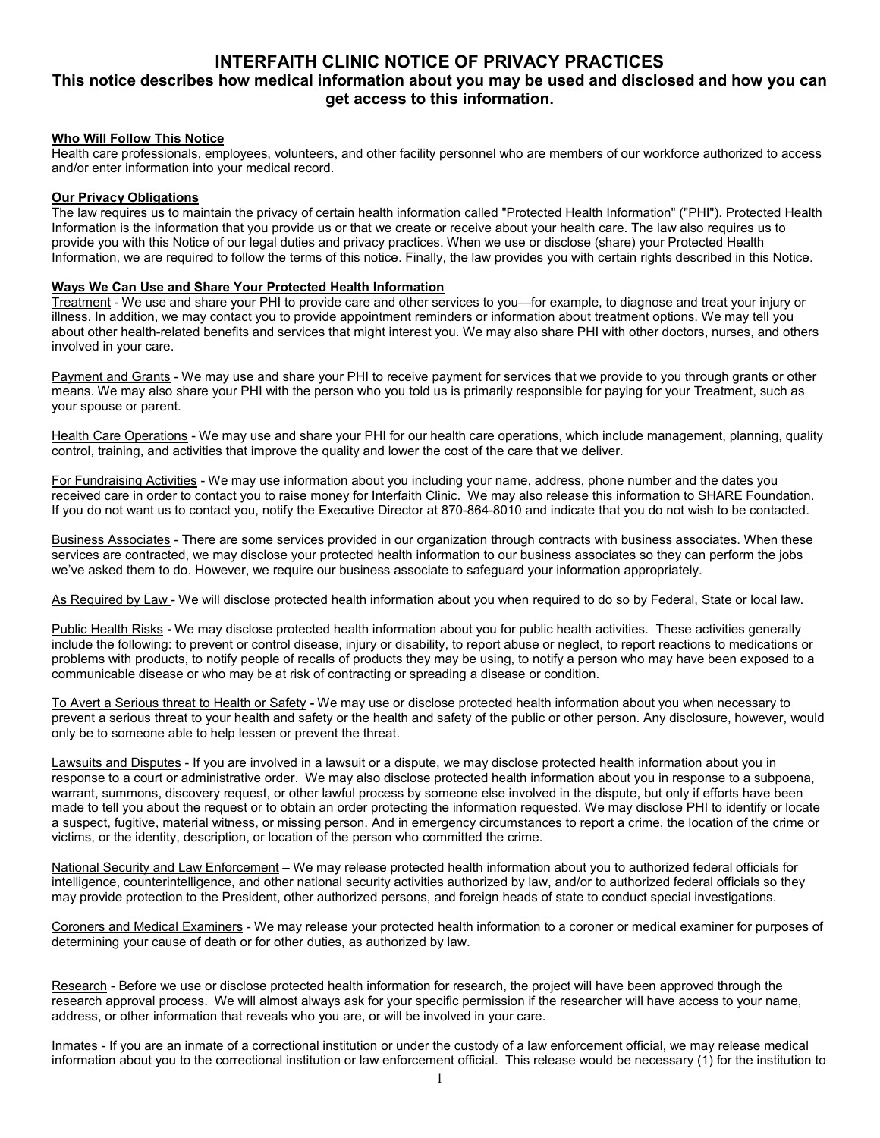# **INTERFAITH CLINIC NOTICE OF PRIVACY PRACTICES**

## **This notice describes how medical information about you may be used and disclosed and how you can get access to this information.**

## **Who Will Follow This Notice**

Health care professionals, employees, volunteers, and other facility personnel who are members of our workforce authorized to access and/or enter information into your medical record.

## **Our Privacy Obligations**

The law requires us to maintain the privacy of certain health information called "Protected Health Information" ("PHI"). Protected Health Information is the information that you provide us or that we create or receive about your health care. The law also requires us to provide you with this Notice of our legal duties and privacy practices. When we use or disclose (share) your Protected Health Information, we are required to follow the terms of this notice. Finally, the law provides you with certain rights described in this Notice.

#### **Ways We Can Use and Share Your Protected Health Information**

Treatment - We use and share your PHI to provide care and other services to you—for example, to diagnose and treat your injury or illness. In addition, we may contact you to provide appointment reminders or information about treatment options. We may tell you about other health-related benefits and services that might interest you. We may also share PHI with other doctors, nurses, and others involved in your care.

Payment and Grants - We may use and share your PHI to receive payment for services that we provide to you through grants or other means. We may also share your PHI with the person who you told us is primarily responsible for paying for your Treatment, such as your spouse or parent.

Health Care Operations - We may use and share your PHI for our health care operations, which include management, planning, quality control, training, and activities that improve the quality and lower the cost of the care that we deliver.

For Fundraising Activities - We may use information about you including your name, address, phone number and the dates you received care in order to contact you to raise money for Interfaith Clinic. We may also release this information to SHARE Foundation. If you do not want us to contact you, notify the Executive Director at 870-864-8010 and indicate that you do not wish to be contacted.

Business Associates - There are some services provided in our organization through contracts with business associates. When these services are contracted, we may disclose your protected health information to our business associates so they can perform the jobs we've asked them to do. However, we require our business associate to safeguard your information appropriately.

As Required by Law - We will disclose protected health information about you when required to do so by Federal, State or local law.

Public Health Risks **-** We may disclose protected health information about you for public health activities. These activities generally include the following: to prevent or control disease, injury or disability, to report abuse or neglect, to report reactions to medications or problems with products, to notify people of recalls of products they may be using, to notify a person who may have been exposed to a communicable disease or who may be at risk of contracting or spreading a disease or condition.

To Avert a Serious threat to Health or Safety **-** We may use or disclose protected health information about you when necessary to prevent a serious threat to your health and safety or the health and safety of the public or other person. Any disclosure, however, would only be to someone able to help lessen or prevent the threat.

Lawsuits and Disputes - If you are involved in a lawsuit or a dispute, we may disclose protected health information about you in response to a court or administrative order. We may also disclose protected health information about you in response to a subpoena, warrant, summons, discovery request, or other lawful process by someone else involved in the dispute, but only if efforts have been made to tell you about the request or to obtain an order protecting the information requested. We may disclose PHI to identify or locate a suspect, fugitive, material witness, or missing person. And in emergency circumstances to report a crime, the location of the crime or victims, or the identity, description, or location of the person who committed the crime.

National Security and Law Enforcement – We may release protected health information about you to authorized federal officials for intelligence, counterintelligence, and other national security activities authorized by law, and/or to authorized federal officials so they may provide protection to the President, other authorized persons, and foreign heads of state to conduct special investigations.

Coroners and Medical Examiners - We may release your protected health information to a coroner or medical examiner for purposes of determining your cause of death or for other duties, as authorized by law.

Research - Before we use or disclose protected health information for research, the project will have been approved through the research approval process. We will almost always ask for your specific permission if the researcher will have access to your name, address, or other information that reveals who you are, or will be involved in your care.

Inmates - If you are an inmate of a correctional institution or under the custody of a law enforcement official, we may release medical information about you to the correctional institution or law enforcement official. This release would be necessary (1) for the institution to